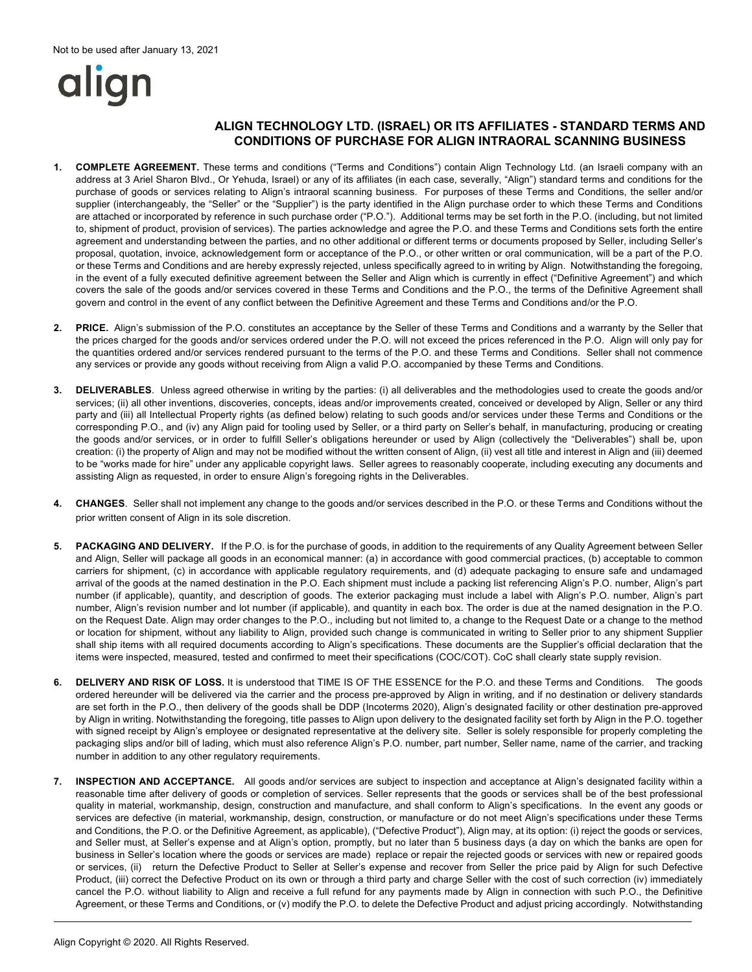# align

## **ALIGN TECHNOLOGY LTD. (ISRAEL) OR ITS AFFILIATES - STANDARD TERMS AND CONDITIONS OF PURCHASE FOR ALIGN INTRAORAL SCANNING BUSINESS**

- **1. COMPLETE AGREEMENT.** These terms and conditions ("Terms and Conditions") contain Align Technology Ltd. (an Israeli company with an address at 3 Ariel Sharon Blvd., Or Yehuda, Israel) or any of its affiliates (in each case, severally, "Align") standard terms and conditions for the purchase of goods or services relating to Align's intraoral scanning business. For purposes of these Terms and Conditions, the seller and/or supplier (interchangeably, the "Seller" or the "Supplier") is the party identified in the Align purchase order to which these Terms and Conditions are attached or incorporated by reference in such purchase order ("P.O."). Additional terms may be set forth in the P.O. (including, but not limited to, shipment of product, provision of services). The parties acknowledge and agree the P.O. and these Terms and Conditions sets forth the entire agreement and understanding between the parties, and no other additional or different terms or documents proposed by Seller, including Seller's proposal, quotation, invoice, acknowledgement form or acceptance of the P.O., or other written or oral communication, will be a part of the P.O. or these Terms and Conditions and are hereby expressly rejected, unless specifically agreed to in writing by Align. Notwithstanding the foregoing, in the event of a fully executed definitive agreement between the Seller and Align which is currently in effect ("Definitive Agreement") and which covers the sale of the goods and/or services covered in these Terms and Conditions and the P.O., the terms of the Definitive Agreement shall govern and control in the event of any conflict between the Definitive Agreement and these Terms and Conditions and/or the P.O.
- **2. PRICE.** Align's submission of the P.O. constitutes an acceptance by the Seller of these Terms and Conditions and a warranty by the Seller that the prices charged for the goods and/or services ordered under the P.O. will not exceed the prices referenced in the P.O. Align will only pay for the quantities ordered and/or services rendered pursuant to the terms of the P.O. and these Terms and Conditions. Seller shall not commence any services or provide any goods without receiving from Align a valid P.O. accompanied by these Terms and Conditions.
- **3. DELIVERABLES**. Unless agreed otherwise in writing by the parties: (i) all deliverables and the methodologies used to create the goods and/or services; (ii) all other inventions, discoveries, concepts, ideas and/or improvements created, conceived or developed by Align, Seller or any third party and (iii) all Intellectual Property rights (as defined below) relating to such goods and/or services under these Terms and Conditions or the corresponding P.O., and (iv) any Align paid for tooling used by Seller, or a third party on Seller's behalf, in manufacturing, producing or creating the goods and/or services, or in order to fulfill Seller's obligations hereunder or used by Align (collectively the "Deliverables") shall be, upon creation: (i) the property of Align and may not be modified without the written consent of Align, (ii) vest all title and interest in Align and (iii) deemed to be "works made for hire" under any applicable copyright laws. Seller agrees to reasonably cooperate, including executing any documents and assisting Align as requested, in order to ensure Align's foregoing rights in the Deliverables.
- **4. CHANGES**. Seller shall not implement any change to the goods and/or services described in the P.O. or these Terms and Conditions without the prior written consent of Align in its sole discretion.
- **5. PACKAGING AND DELIVERY.** If the P.O. is for the purchase of goods, in addition to the requirements of any Quality Agreement between Seller and Align, Seller will package all goods in an economical manner: (a) in accordance with good commercial practices, (b) acceptable to common carriers for shipment, (c) in accordance with applicable regulatory requirements, and (d) adequate packaging to ensure safe and undamaged arrival of the goods at the named destination in the P.O. Each shipment must include a packing list referencing Align's P.O. number, Align's part number (if applicable), quantity, and description of goods. The exterior packaging must include a label with Align's P.O. number, Align's part number, Align's revision number and lot number (if applicable), and quantity in each box. The order is due at the named designation in the P.O. on the Request Date. Align may order changes to the P.O., including but not limited to, a change to the Request Date or a change to the method or location for shipment, without any liability to Align, provided such change is communicated in writing to Seller prior to any shipment Supplier shall ship items with all required documents according to Align's specifications. These documents are the Supplier's official declaration that the items were inspected, measured, tested and confirmed to meet their specifications (COC/COT). CoC shall clearly state supply revision.
- **6. DELIVERY AND RISK OF LOSS.** It is understood that TIME IS OF THE ESSENCE for the P.O. and these Terms and Conditions. The goods ordered hereunder will be delivered via the carrier and the process pre-approved by Align in writing, and if no destination or delivery standards are set forth in the P.O., then delivery of the goods shall be DDP (Incoterms 2020), Align's designated facility or other destination pre-approved by Align in writing. Notwithstanding the foregoing, title passes to Align upon delivery to the designated facility set forth by Align in the P.O. together with signed receipt by Align's employee or designated representative at the delivery site. Seller is solely responsible for properly completing the packaging slips and/or bill of lading, which must also reference Align's P.O. number, part number, Seller name, name of the carrier, and tracking number in addition to any other regulatory requirements.
- **7. INSPECTION AND ACCEPTANCE.** All goods and/or services are subject to inspection and acceptance at Align's designated facility within a reasonable time after delivery of goods or completion of services. Seller represents that the goods or services shall be of the best professional quality in material, workmanship, design, construction and manufacture, and shall conform to Align's specifications. In the event any goods or services are defective (in material, workmanship, design, construction, or manufacture or do not meet Align's specifications under these Terms and Conditions, the P.O. or the Definitive Agreement, as applicable), ("Defective Product"), Align may, at its option: (i) reject the goods or services, and Seller must, at Seller's expense and at Align's option, promptly, but no later than 5 business days (a day on which the banks are open for business in Seller's location where the goods or services are made) replace or repair the rejected goods or services with new or repaired goods or services, (ii) return the Defective Product to Seller at Seller's expense and recover from Seller the price paid by Align for such Defective Product, (iii) correct the Defective Product on its own or through a third party and charge Seller with the cost of such correction (iv) immediately cancel the P.O. without liability to Align and receive a full refund for any payments made by Align in connection with such P.O., the Definitive Agreement, or these Terms and Conditions, or (v) modify the P.O. to delete the Defective Product and adjust pricing accordingly. Notwithstanding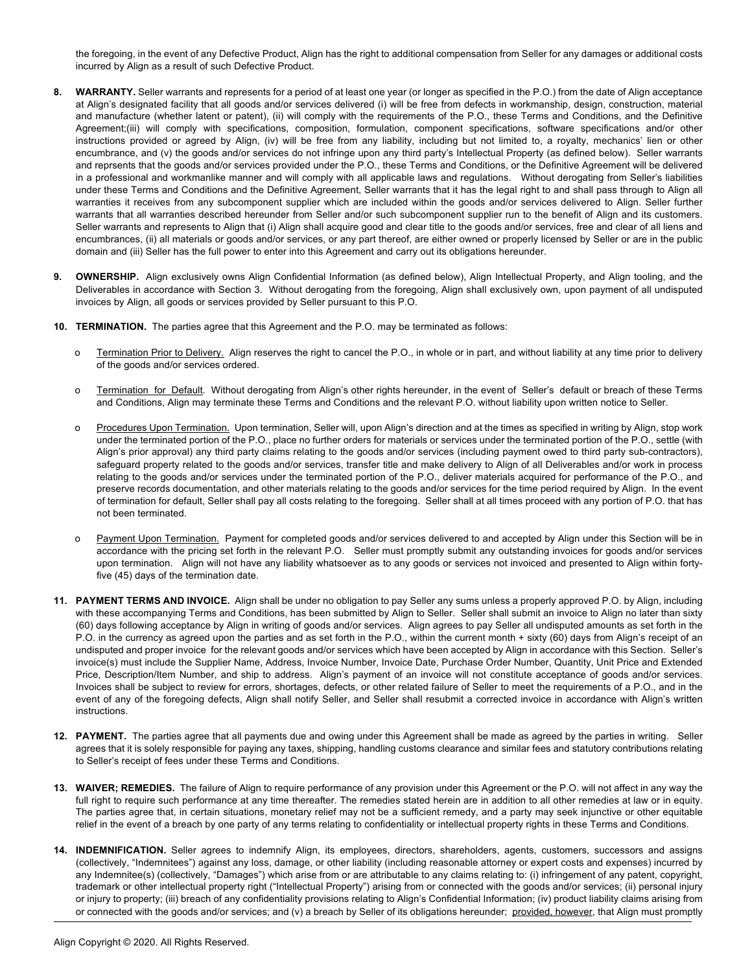the foregoing, in the event of any Defective Product, Align has the right to additional compensation from Seller for any damages or additional costs incurred by Align as a result of such Defective Product.

- **8. WARRANTY.** Seller warrants and represents for a period of at least one year (or longer as specified in the P.O.) from the date of Align acceptance at Align's designated facility that all goods and/or services delivered (i) will be free from defects in workmanship, design, construction, material and manufacture (whether latent or patent), (ii) will comply with the requirements of the P.O., these Terms and Conditions, and the Definitive Agreement;(iii) will comply with specifications, composition, formulation, component specifications, software specifications and/or other instructions provided or agreed by Align, (iv) will be free from any liability, including but not limited to, a royalty, mechanics' lien or other encumbrance, and (v) the goods and/or services do not infringe upon any third party's Intellectual Property (as defined below). Seller warrants and reprsents that the goods and/or services provided under the P.O., these Terms and Conditions, or the Definitive Agreement will be delivered in a professional and workmanlike manner and will comply with all applicable laws and regulations. Without derogating from Seller's liabilities under these Terms and Conditions and the Definitive Agreement, Seller warrants that it has the legal right to and shall pass through to Align all warranties it receives from any subcomponent supplier which are included within the goods and/or services delivered to Align. Seller further warrants that all warranties described hereunder from Seller and/or such subcomponent supplier run to the benefit of Align and its customers. Seller warrants and represents to Align that (i) Align shall acquire good and clear title to the goods and/or services, free and clear of all liens and encumbrances, (ii) all materials or goods and/or services, or any part thereof, are either owned or properly licensed by Seller or are in the public domain and (iii) Seller has the full power to enter into this Agreement and carry out its obligations hereunder.
- **9. OWNERSHIP.** Align exclusively owns Align Confidential Information (as defined below), Align Intellectual Property, and Align tooling, and the Deliverables in accordance with Section 3. Without derogating from the foregoing, Align shall exclusively own, upon payment of all undisputed invoices by Align, all goods or services provided by Seller pursuant to this P.O.
- **10. TERMINATION.** The parties agree that this Agreement and the P.O. may be terminated as follows:
	- o Termination Prior to Delivery. Align reserves the right to cancel the P.O., in whole or in part, and without liability at any time prior to delivery of the goods and/or services ordered.
	- o Termination for Default. Without derogating from Align's other rights hereunder, in the event of Seller's default or breach of these Terms and Conditions, Align may terminate these Terms and Conditions and the relevant P.O. without liability upon written notice to Seller.
	- o Procedures Upon Termination. Upon termination, Seller will, upon Align's direction and at the times as specified in writing by Align, stop work under the terminated portion of the P.O., place no further orders for materials or services under the terminated portion of the P.O., settle (with Align's prior approval) any third party claims relating to the goods and/or services (including payment owed to third party sub-contractors), safeguard property related to the goods and/or services, transfer title and make delivery to Align of all Deliverables and/or work in process relating to the goods and/or services under the terminated portion of the P.O., deliver materials acquired for performance of the P.O., and preserve records documentation, and other materials relating to the goods and/or services for the time period required by Align. In the event of termination for default, Seller shall pay all costs relating to the foregoing. Seller shall at all times proceed with any portion of P.O. that has not been terminated.
	- o Payment Upon Termination. Payment for completed goods and/or services delivered to and accepted by Align under this Section will be in accordance with the pricing set forth in the relevant P.O. Seller must promptly submit any outstanding invoices for goods and/or services upon termination. Align will not have any liability whatsoever as to any goods or services not invoiced and presented to Align within fortyfive (45) days of the termination date.
- **11. PAYMENT TERMS AND INVOICE.** Align shall be under no obligation to pay Seller any sums unless a properly approved P.O. by Align, including with these accompanying Terms and Conditions, has been submitted by Align to Seller. Seller shall submit an invoice to Align no later than sixty (60) days following acceptance by Align in writing of goods and/or services. Align agrees to pay Seller all undisputed amounts as set forth in the P.O. in the currency as agreed upon the parties and as set forth in the P.O., within the current month + sixty (60) days from Align's receipt of an undisputed and proper invoice for the relevant goods and/or services which have been accepted by Align in accordance with this Section. Seller's invoice(s) must include the Supplier Name, Address, Invoice Number, Invoice Date, Purchase Order Number, Quantity, Unit Price and Extended Price, Description/Item Number, and ship to address. Align's payment of an invoice will not constitute acceptance of goods and/or services. Invoices shall be subject to review for errors, shortages, defects, or other related failure of Seller to meet the requirements of a P.O., and in the event of any of the foregoing defects, Align shall notify Seller, and Seller shall resubmit a corrected invoice in accordance with Align's written instructions.
- **12. PAYMENT.** The parties agree that all payments due and owing under this Agreement shall be made as agreed by the parties in writing. Seller agrees that it is solely responsible for paying any taxes, shipping, handling customs clearance and similar fees and statutory contributions relating to Seller's receipt of fees under these Terms and Conditions.
- **13. WAIVER; REMEDIES.** The failure of Align to require performance of any provision under this Agreement or the P.O. will not affect in any way the full right to require such performance at any time thereafter. The remedies stated herein are in addition to all other remedies at law or in equity. The parties agree that, in certain situations, monetary relief may not be a sufficient remedy, and a party may seek injunctive or other equitable relief in the event of a breach by one party of any terms relating to confidentiality or intellectual property rights in these Terms and Conditions.
- **14. INDEMNIFICATION.** Seller agrees to indemnify Align, its employees, directors, shareholders, agents, customers, successors and assigns (collectively, "Indemnitees") against any loss, damage, or other liability (including reasonable attorney or expert costs and expenses) incurred by any Indemnitee(s) (collectively, "Damages") which arise from or are attributable to any claims relating to: (i) infringement of any patent, copyright, trademark or other intellectual property right ("Intellectual Property") arising from or connected with the goods and/or services; (ii) personal injury or injury to property; (iii) breach of any confidentiality provisions relating to Align's Confidential Information; (iv) product liability claims arising from or connected with the goods and/or services; and (v) a breach by Seller of its obligations hereunder; provided, however, that Align must promptly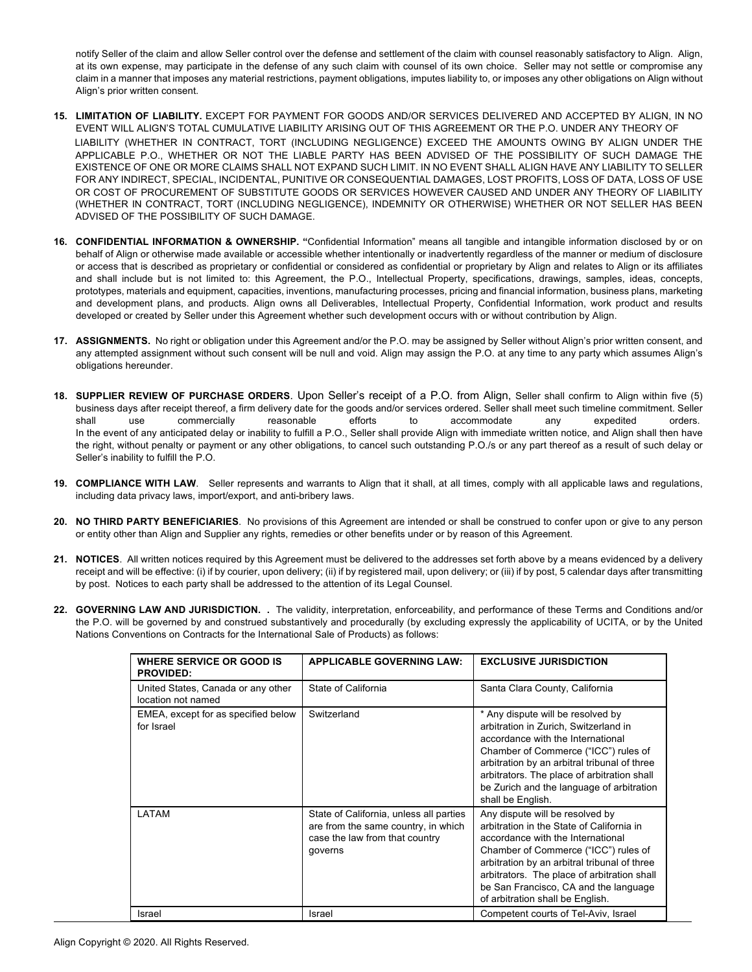notify Seller of the claim and allow Seller control over the defense and settlement of the claim with counsel reasonably satisfactory to Align. Align, at its own expense, may participate in the defense of any such claim with counsel of its own choice. Seller may not settle or compromise any claim in a manner that imposes any material restrictions, payment obligations, imputes liability to, or imposes any other obligations on Align without Align's prior written consent.

- **15. LIMITATION OF LIABILITY.** EXCEPT FOR PAYMENT FOR GOODS AND/OR SERVICES DELIVERED AND ACCEPTED BY ALIGN, IN NO EVENT WILL ALIGN'S TOTAL CUMULATIVE LIABILITY ARISING OUT OF THIS AGREEMENT OR THE P.O. UNDER ANY THEORY OF LIABILITY (WHETHER IN CONTRACT, TORT (INCLUDING NEGLIGENCE) EXCEED THE AMOUNTS OWING BY ALIGN UNDER THE APPLICABLE P.O., WHETHER OR NOT THE LIABLE PARTY HAS BEEN ADVISED OF THE POSSIBILITY OF SUCH DAMAGE THE EXISTENCE OF ONE OR MORE CLAIMS SHALL NOT EXPAND SUCH LIMIT. IN NO EVENT SHALL ALIGN HAVE ANY LIABILITY TO SELLER FOR ANY INDIRECT, SPECIAL, INCIDENTAL, PUNITIVE OR CONSEQUENTIAL DAMAGES, LOST PROFITS, LOSS OF DATA, LOSS OF USE OR COST OF PROCUREMENT OF SUBSTITUTE GOODS OR SERVICES HOWEVER CAUSED AND UNDER ANY THEORY OF LIABILITY (WHETHER IN CONTRACT, TORT (INCLUDING NEGLIGENCE), INDEMNITY OR OTHERWISE) WHETHER OR NOT SELLER HAS BEEN ADVISED OF THE POSSIBILITY OF SUCH DAMAGE.
- **16. CONFIDENTIAL INFORMATION & OWNERSHIP. "**Confidential Information" means all tangible and intangible information disclosed by or on behalf of Align or otherwise made available or accessible whether intentionally or inadvertently regardless of the manner or medium of disclosure or access that is described as proprietary or confidential or considered as confidential or proprietary by Align and relates to Align or its affiliates and shall include but is not limited to: this Agreement, the P.O., Intellectual Property, specifications, drawings, samples, ideas, concepts, prototypes, materials and equipment, capacities, inventions, manufacturing processes, pricing and financial information, business plans, marketing and development plans, and products. Align owns all Deliverables, Intellectual Property, Confidential Information, work product and results developed or created by Seller under this Agreement whether such development occurs with or without contribution by Align.
- **17. ASSIGNMENTS.** No right or obligation under this Agreement and/or the P.O. may be assigned by Seller without Align's prior written consent, and any attempted assignment without such consent will be null and void. Align may assign the P.O. at any time to any party which assumes Align's obligations hereunder.
- **18. SUPPLIER REVIEW OF PURCHASE ORDERS**. Upon Seller's receipt of a P.O. from Align, Seller shall confirm to Align within five (5) business days after receipt thereof, a firm delivery date for the goods and/or services ordered. Seller shall meet such timeline commitment. Seller shall use commercially reasonable efforts to accommodate any expedited orders. In the event of any anticipated delay or inability to fulfill a P.O., Seller shall provide Align with immediate written notice, and Align shall then have the right, without penalty or payment or any other obligations, to cancel such outstanding P.O./s or any part thereof as a result of such delay or Seller's inability to fulfill the P.O.
- **19. COMPLIANCE WITH LAW**. Seller represents and warrants to Align that it shall, at all times, comply with all applicable laws and regulations, including data privacy laws, import/export, and anti-bribery laws.
- **20. NO THIRD PARTY BENEFICIARIES**. No provisions of this Agreement are intended or shall be construed to confer upon or give to any person or entity other than Align and Supplier any rights, remedies or other benefits under or by reason of this Agreement.
- **21. NOTICES**. All written notices required by this Agreement must be delivered to the addresses set forth above by a means evidenced by a delivery receipt and will be effective: (i) if by courier, upon delivery; (ii) if by registered mail, upon delivery; or (iii) if by post, 5 calendar days after transmitting by post. Notices to each party shall be addressed to the attention of its Legal Counsel.
- **22. GOVERNING LAW AND JURISDICTION. .** The validity, interpretation, enforceability, and performance of these Terms and Conditions and/or the P.O. will be governed by and construed substantively and procedurally (by excluding expressly the applicability of UCITA, or by the United Nations Conventions on Contracts for the International Sale of Products) as follows:

| WHERE SERVICE OR GOOD IS<br><b>PROVIDED:</b>             | <b>APPLICABLE GOVERNING LAW:</b>                                                                                            | <b>EXCLUSIVE JURISDICTION</b>                                                                                                                                                                                                                                                                                                         |
|----------------------------------------------------------|-----------------------------------------------------------------------------------------------------------------------------|---------------------------------------------------------------------------------------------------------------------------------------------------------------------------------------------------------------------------------------------------------------------------------------------------------------------------------------|
| United States, Canada or any other<br>location not named | State of California                                                                                                         | Santa Clara County, California                                                                                                                                                                                                                                                                                                        |
| EMEA, except for as specified below<br>for Israel        | Switzerland                                                                                                                 | * Any dispute will be resolved by<br>arbitration in Zurich, Switzerland in<br>accordance with the International<br>Chamber of Commerce ("ICC") rules of<br>arbitration by an arbitral tribunal of three<br>arbitrators. The place of arbitration shall<br>be Zurich and the language of arbitration<br>shall be English.              |
| LATAM                                                    | State of California, unless all parties<br>are from the same country, in which<br>case the law from that country<br>governs | Any dispute will be resolved by<br>arbitration in the State of California in<br>accordance with the International<br>Chamber of Commerce ("ICC") rules of<br>arbitration by an arbitral tribunal of three<br>arbitrators. The place of arbitration shall<br>be San Francisco, CA and the language<br>of arbitration shall be English. |
| Israel                                                   | Israel                                                                                                                      | Competent courts of Tel-Aviv, Israel                                                                                                                                                                                                                                                                                                  |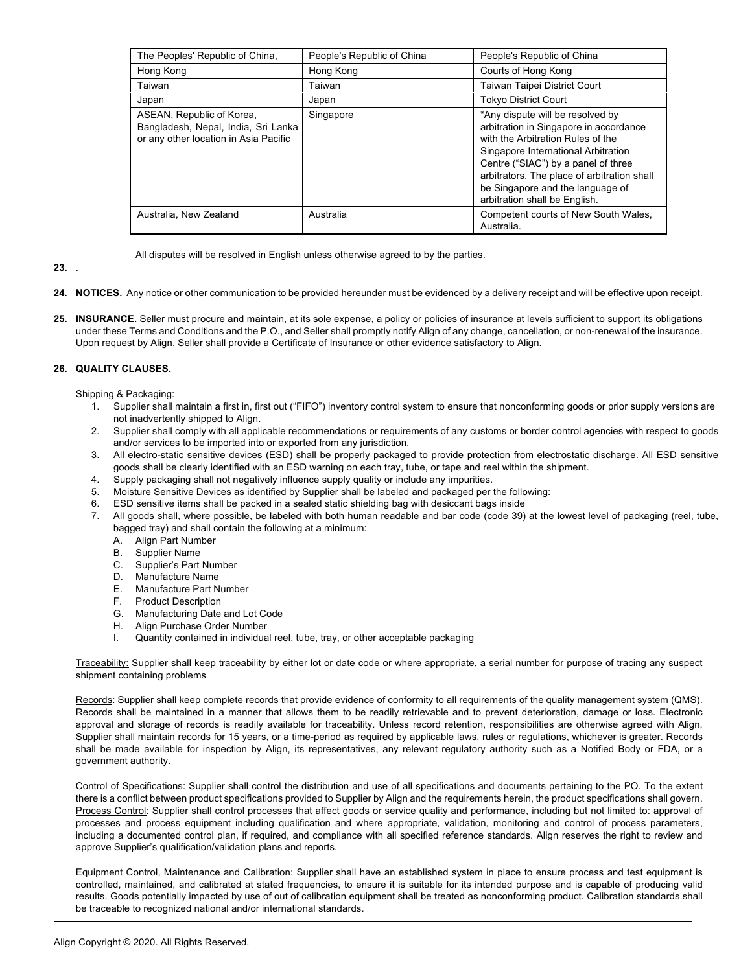| The Peoples' Republic of China,                                                                           | People's Republic of China | People's Republic of China                                                                                                                                                                                                                                                                                        |
|-----------------------------------------------------------------------------------------------------------|----------------------------|-------------------------------------------------------------------------------------------------------------------------------------------------------------------------------------------------------------------------------------------------------------------------------------------------------------------|
| Hong Kong                                                                                                 | Hong Kong                  | Courts of Hong Kong                                                                                                                                                                                                                                                                                               |
| Taiwan                                                                                                    | Taiwan                     | <b>Taiwan Taipei District Court</b>                                                                                                                                                                                                                                                                               |
| Japan                                                                                                     | Japan                      | <b>Tokyo District Court</b>                                                                                                                                                                                                                                                                                       |
| ASEAN, Republic of Korea,<br>Bangladesh, Nepal, India, Sri Lanka<br>or any other location in Asia Pacific | Singapore                  | *Any dispute will be resolved by<br>arbitration in Singapore in accordance<br>with the Arbitration Rules of the<br>Singapore International Arbitration<br>Centre ("SIAC") by a panel of three<br>arbitrators. The place of arbitration shall<br>be Singapore and the language of<br>arbitration shall be English. |
| Australia, New Zealand                                                                                    | Australia                  | Competent courts of New South Wales,<br>Australia.                                                                                                                                                                                                                                                                |

All disputes will be resolved in English unless otherwise agreed to by the parties.

### **23.** .

- **24. NOTICES.** Any notice or other communication to be provided hereunder must be evidenced by a delivery receipt and will be effective upon receipt.
- 25. **INSURANCE**. Seller must procure and maintain, at its sole expense, a policy or policies of insurance at levels sufficient to support its obligations under these Terms and Conditions and the P.O., and Seller shall promptly notify Align of any change, cancellation, or non-renewal of the insurance. Upon request by Align, Seller shall provide a Certificate of Insurance or other evidence satisfactory to Align.

#### **26. QUALITY CLAUSES.**

#### Shipping & Packaging:

- 1. Supplier shall maintain a first in, first out ("FIFO") inventory control system to ensure that nonconforming goods or prior supply versions are not inadvertently shipped to Align.
- 2. Supplier shall comply with all applicable recommendations or requirements of any customs or border control agencies with respect to goods and/or services to be imported into or exported from any jurisdiction.
- 3. All electro-static sensitive devices (ESD) shall be properly packaged to provide protection from electrostatic discharge. All ESD sensitive goods shall be clearly identified with an ESD warning on each tray, tube, or tape and reel within the shipment.
- 
- 4. Supply packaging shall not negatively influence supply quality or include any impurities. 5. Moisture Sensitive Devices as identified by Supplier shall be labeled and packaged per the following:
- 6. ESD sensitive items shall be packed in a sealed static shielding bag with desiccant bags inside
- 7. All goods shall, where possible, be labeled with both human readable and bar code (code 39) at the lowest level of packaging (reel, tube, bagged tray) and shall contain the following at a minimum:
	- A. Align Part Number
	- Supplier Name
	- C. Supplier's Part Number
	- D. Manufacture Name
	- E. Manufacture Part Number
	- F. Product Description
	- G. Manufacturing Date and Lot Code
	- H. Align Purchase Order Number
	- I. Quantity contained in individual reel, tube, tray, or other acceptable packaging

Traceability: Supplier shall keep traceability by either lot or date code or where appropriate, a serial number for purpose of tracing any suspect shipment containing problems

Records: Supplier shall keep complete records that provide evidence of conformity to all requirements of the quality management system (QMS). Records shall be maintained in a manner that allows them to be readily retrievable and to prevent deterioration, damage or loss. Electronic approval and storage of records is readily available for traceability. Unless record retention, responsibilities are otherwise agreed with Align, Supplier shall maintain records for 15 years, or a time-period as required by applicable laws, rules or regulations, whichever is greater. Records shall be made available for inspection by Align, its representatives, any relevant regulatory authority such as a Notified Body or FDA, or a government authority.

Control of Specifications: Supplier shall control the distribution and use of all specifications and documents pertaining to the PO. To the extent there is a conflict between product specifications provided to Supplier by Align and the requirements herein, the product specifications shall govern. Process Control: Supplier shall control processes that affect goods or service quality and performance, including but not limited to: approval of processes and process equipment including qualification and where appropriate, validation, monitoring and control of process parameters, including a documented control plan, if required, and compliance with all specified reference standards. Align reserves the right to review and approve Supplier's qualification/validation plans and reports.

Equipment Control, Maintenance and Calibration: Supplier shall have an established system in place to ensure process and test equipment is controlled, maintained, and calibrated at stated frequencies, to ensure it is suitable for its intended purpose and is capable of producing valid results. Goods potentially impacted by use of out of calibration equipment shall be treated as nonconforming product. Calibration standards shall be traceable to recognized national and/or international standards.